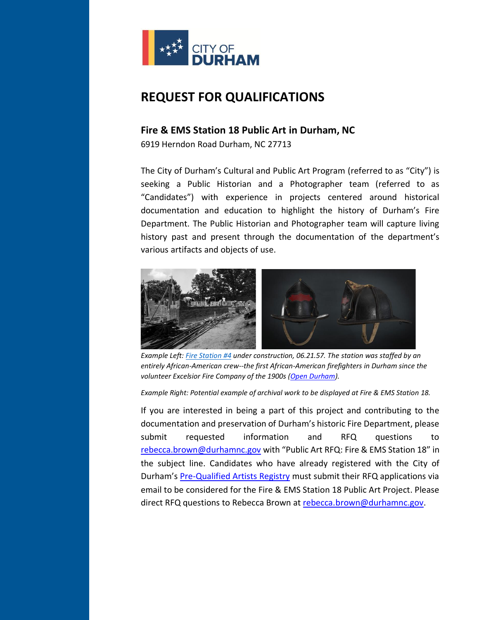

# **REQUEST FOR QUALIFICATIONS**

# **Fire & EMS Station 18 Public Art in Durham, NC**

6919 Herndon Road Durham, NC 27713

The City of Durham's Cultural and Public Art Program (referred to as "City") is seeking a Public Historian and a Photographer team (referred to as "Candidates") with experience in projects centered around historical documentation and education to highlight the history of Durham's Fire Department. The Public Historian and Photographer team will capture living history past and present through the documentation of the department's various artifacts and objects of use.



*Example Left[: Fire Station #4](http://www.opendurham.org/buildings/fire-station-4-fayetteville-st) under construction, 06.21.57. The station was staffed by an entirely African-American crew--the first African-American firefighters in Durham since the volunteer Excelsior Fire Company of the 1900s [\(Open Durham\)](http://www.opendurham.org/).*

*Example Right: Potential example of archival work to be displayed at Fire & EMS Station 18.* 

If you are interested in being a part of this project and contributing to the documentation and preservation of Durham's historic Fire Department, please submit requested information and RFQ questions to [rebecca.brown@durhamnc.gov](mailto:rebecca.brown@durhamnc.gov) with "Public Art RFQ: Fire & EMS Station 18" in the subject line. Candidates who have already registered with the City of Durham's [Pre-Qualified Artists Registry](https://durhamnc.gov/DocumentCenter/View/25203/Durham-Public-Arts-Artist-Registry-RFQ) must submit their RFQ applications via email to be considered for the Fire & EMS Station 18 Public Art Project. Please direct RFQ questions to Rebecca Brown at [rebecca.brown@durhamnc.gov.](mailto:rebecca.brown@durhamnc.gov)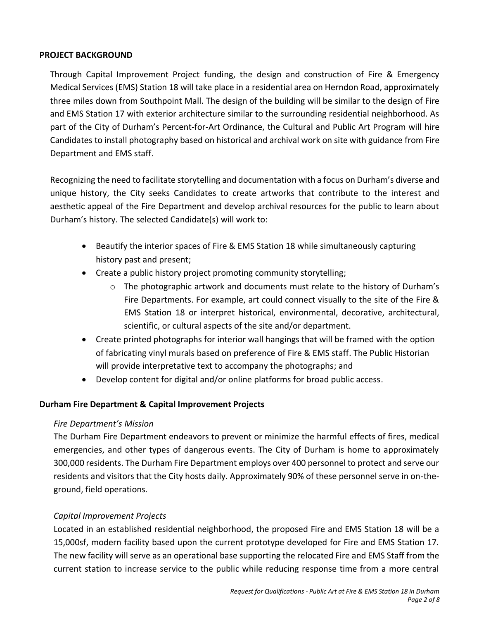## **PROJECT BACKGROUND**

Through Capital Improvement Project funding, the design and construction of Fire & Emergency Medical Services (EMS) Station 18 will take place in a residential area on Herndon Road, approximately three miles down from Southpoint Mall. The design of the building will be similar to the design of Fire and EMS Station 17 with exterior architecture similar to the surrounding residential neighborhood. As part of the City of Durham's Percent-for-Art Ordinance, the Cultural and Public Art Program will hire Candidates to install photography based on historical and archival work on site with guidance from Fire Department and EMS staff.

Recognizing the need to facilitate storytelling and documentation with a focus on Durham's diverse and unique history, the City seeks Candidates to create artworks that contribute to the interest and aesthetic appeal of the Fire Department and develop archival resources for the public to learn about Durham's history. The selected Candidate(s) will work to:

- Beautify the interior spaces of Fire & EMS Station 18 while simultaneously capturing history past and present;
- Create a public history project promoting community storytelling;
	- $\circ$  The photographic artwork and documents must relate to the history of Durham's Fire Departments. For example, art could connect visually to the site of the Fire & EMS Station 18 or interpret historical, environmental, decorative, architectural, scientific, or cultural aspects of the site and/or department.
- Create printed photographs for interior wall hangings that will be framed with the option of fabricating vinyl murals based on preference of Fire & EMS staff. The Public Historian will provide interpretative text to accompany the photographs; and
- Develop content for digital and/or online platforms for broad public access.

# **Durham Fire Department & Capital Improvement Projects**

# *Fire Department's Mission*

The Durham Fire Department endeavors to prevent or minimize the harmful effects of fires, medical emergencies, and other types of dangerous events. The City of Durham is home to approximately 300,000 residents. The Durham Fire Department employs over 400 personnel to protect and serve our residents and visitors that the City hosts daily. Approximately 90% of these personnel serve in on-theground, field operations.

## *Capital Improvement Projects*

Located in an established residential neighborhood, the proposed Fire and EMS Station 18 will be a 15,000sf, modern facility based upon the current prototype developed for Fire and EMS Station 17. The new facility will serve as an operational base supporting the relocated Fire and EMS Staff from the current station to increase service to the public while reducing response time from a more central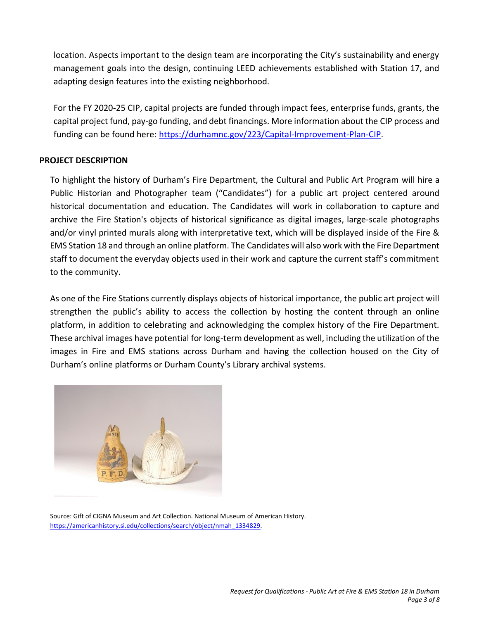location. Aspects important to the design team are incorporating the City's sustainability and energy management goals into the design, continuing LEED achievements established with Station 17, and adapting design features into the existing neighborhood.

For the FY 2020-25 CIP, capital projects are funded through impact fees, enterprise funds, grants, the capital project fund, pay-go funding, and debt financings. More information about the CIP process and funding can be found here: [https://durhamnc.gov/223/Capital-Improvement-Plan-CIP.](https://durhamnc.gov/223/Capital-Improvement-Plan-CIP)

## **PROJECT DESCRIPTION**

To highlight the history of Durham's Fire Department, the Cultural and Public Art Program will hire a Public Historian and Photographer team ("Candidates") for a public art project centered around historical documentation and education. The Candidates will work in collaboration to capture and archive the Fire Station's objects of historical significance as digital images, large-scale photographs and/or vinyl printed murals along with interpretative text, which will be displayed inside of the Fire & EMS Station 18 and through an online platform. The Candidates will also work with the Fire Department staff to document the everyday objects used in their work and capture the current staff's commitment to the community.

As one of the Fire Stations currently displays objects of historical importance, the public art project will strengthen the public's ability to access the collection by hosting the content through an online platform, in addition to celebrating and acknowledging the complex history of the Fire Department. These archival images have potential for long-term development as well, including the utilization of the images in Fire and EMS stations across Durham and having the collection housed on the City of Durham's online platforms or Durham County's Library archival systems.



Source: Gift of CIGNA Museum and Art Collection. National Museum of American History. [https://americanhistory.si.edu/collections/search/object/nmah\\_1334829.](https://americanhistory.si.edu/collections/search/object/nmah_1334829)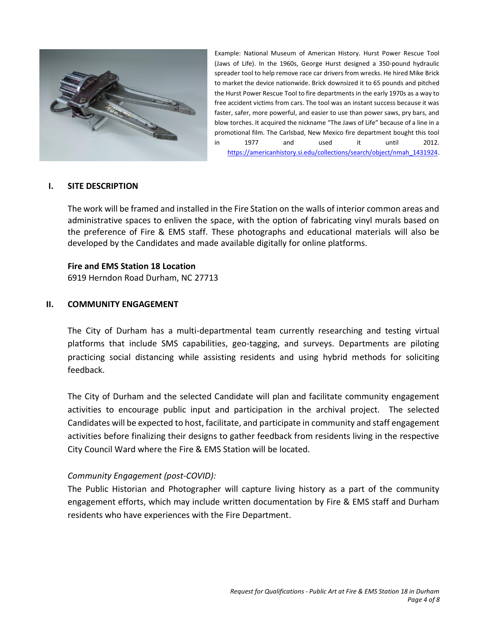

Example: National Museum of American History. Hurst Power Rescue Tool (Jaws of Life). In the 1960s, George Hurst designed a 350-pound hydraulic spreader tool to help remove race car drivers from wrecks. He hired Mike Brick to market the device nationwide. Brick downsized it to 65 pounds and pitched the Hurst Power Rescue Tool to fire departments in the early 1970s as a way to free accident victims from cars. The tool was an instant success because it was faster, safer, more powerful, and easier to use than power saws, pry bars, and blow torches. It acquired the nickname "The Jaws of Life" because of a line in a promotional film. The Carlsbad, New Mexico fire department bought this tool in 1977 and used it until 2012. [https://americanhistory.si.edu/collections/search/object/nmah\\_1431924.](https://americanhistory.si.edu/collections/search/object/nmah_1431924) 

#### **I. SITE DESCRIPTION**

The work will be framed and installed in the Fire Station on the walls of interior common areas and administrative spaces to enliven the space, with the option of fabricating vinyl murals based on the preference of Fire & EMS staff. These photographs and educational materials will also be developed by the Candidates and made available digitally for online platforms.

#### **Fire and EMS Station 18 Location**

6919 Herndon Road Durham, NC 27713

#### **II. COMMUNITY ENGAGEMENT**

The City of Durham has a multi-departmental team currently researching and testing virtual platforms that include SMS capabilities, geo-tagging, and surveys. Departments are piloting practicing social distancing while assisting residents and using hybrid methods for soliciting feedback.

The City of Durham and the selected Candidate will plan and facilitate community engagement activities to encourage public input and participation in the archival project. The selected Candidates will be expected to host, facilitate, and participate in community and staff engagement activities before finalizing their designs to gather feedback from residents living in the respective City Council Ward where the Fire & EMS Station will be located.

## *Community Engagement (post-COVID):*

The Public Historian and Photographer will capture living history as a part of the community engagement efforts, which may include written documentation by Fire & EMS staff and Durham residents who have experiences with the Fire Department.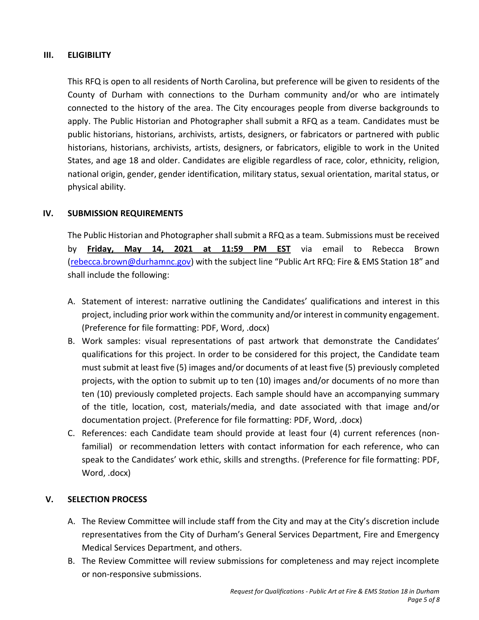## **III. ELIGIBILITY**

This RFQ is open to all residents of North Carolina, but preference will be given to residents of the County of Durham with connections to the Durham community and/or who are intimately connected to the history of the area. The City encourages people from diverse backgrounds to apply. The Public Historian and Photographer shall submit a RFQ as a team. Candidates must be public historians, historians, archivists, artists, designers, or fabricators or partnered with public historians, historians, archivists, artists, designers, or fabricators, eligible to work in the United States, and age 18 and older. Candidates are eligible regardless of race, color, ethnicity, religion, national origin, gender, gender identification, military status, sexual orientation, marital status, or physical ability.

## **IV. SUBMISSION REQUIREMENTS**

The Public Historian and Photographer shall submit a RFQ as a team. Submissions must be received by **Friday, May 14, 2021 at 11:59 PM EST** via email to Rebecca Brown [\(rebecca.brown@durhamnc.gov\)](mailto:rebecca.brown@durhamnc.gov) with the subject line "Public Art RFQ: Fire & EMS Station 18" and shall include the following:

- A. Statement of interest: narrative outlining the Candidates' qualifications and interest in this project, including prior work within the community and/or interest in community engagement. (Preference for file formatting: PDF, Word, .docx)
- B. Work samples: visual representations of past artwork that demonstrate the Candidates' qualifications for this project. In order to be considered for this project, the Candidate team must submit at least five (5) images and/or documents of at least five (5) previously completed projects, with the option to submit up to ten (10) images and/or documents of no more than ten (10) previously completed projects. Each sample should have an accompanying summary of the title, location, cost, materials/media, and date associated with that image and/or documentation project. (Preference for file formatting: PDF, Word, .docx)
- C. References: each Candidate team should provide at least four (4) current references (nonfamilial) or recommendation letters with contact information for each reference, who can speak to the Candidates' work ethic, skills and strengths. (Preference for file formatting: PDF, Word, .docx)

# **V. SELECTION PROCESS**

- A. The Review Committee will include staff from the City and may at the City's discretion include representatives from the City of Durham's General Services Department, Fire and Emergency Medical Services Department, and others.
- B. The Review Committee will review submissions for completeness and may reject incomplete or non-responsive submissions.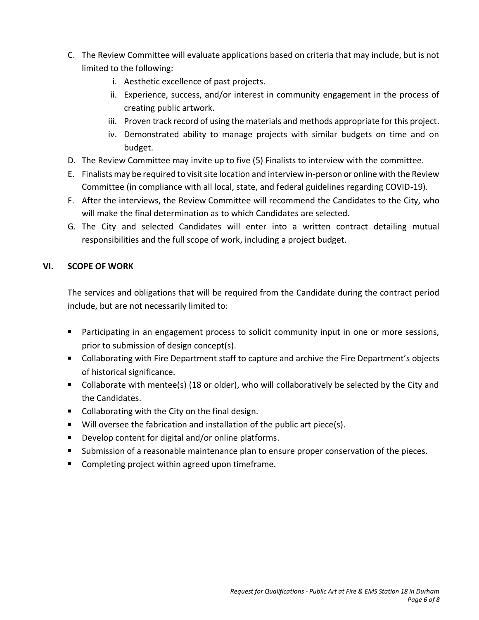- C. The Review Committee will evaluate applications based on criteria that may include, but is not limited to the following:
	- i. Aesthetic excellence of past projects.
	- ii. Experience, success, and/or interest in community engagement in the process of creating public artwork.
	- iii. Proven track record of using the materials and methods appropriate for this project.
	- iv. Demonstrated ability to manage projects with similar budgets on time and on budget.
- D. The Review Committee may invite up to five (5) Finalists to interview with the committee.
- E. Finalists may be required to visit site location and interview in-person or online with the Review Committee (in compliance with all local, state, and federal guidelines regarding COVID-19).
- F. After the interviews, the Review Committee will recommend the Candidates to the City, who will make the final determination as to which Candidates are selected.
- G. The City and selected Candidates will enter into a written contract detailing mutual responsibilities and the full scope of work, including a project budget.

# **VI. SCOPE OF WORK**

The services and obligations that will be required from the Candidate during the contract period include, but are not necessarily limited to:

- Participating in an engagement process to solicit community input in one or more sessions, prior to submission of design concept(s).
- Collaborating with Fire Department staff to capture and archive the Fire Department's objects of historical significance.
- Collaborate with mentee(s) (18 or older), who will collaboratively be selected by the City and the Candidates.
- Collaborating with the City on the final design.
- **Will oversee the fabrication and installation of the public art piece(s).**
- Develop content for digital and/or online platforms.
- Submission of a reasonable maintenance plan to ensure proper conservation of the pieces.
- Completing project within agreed upon timeframe.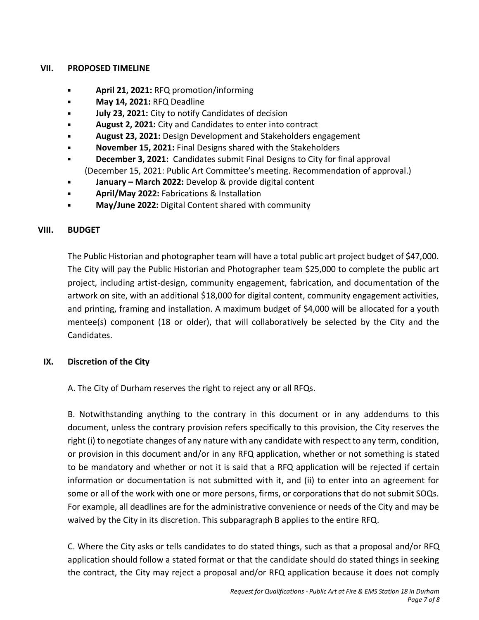## **VII. PROPOSED TIMELINE**

- **April 21, 2021:** RFQ promotion/informing  $\blacksquare$
- **May 14, 2021:** RFQ Deadline
- **July 23, 2021:** City to notify Candidates of decision
- **August 2, 2021:** City and Candidates to enter into contract
- **August 23, 2021:** Design Development and Stakeholders engagement
- **November 15, 2021:** Final Designs shared with the Stakeholders
- **December 3, 2021:** Candidates submit Final Designs to City for final approval (December 15, 2021: Public Art Committee's meeting. Recommendation of approval.)
- **January – March 2022:** Develop & provide digital content
- **April/May 2022:** Fabrications & Installation
- **May/June 2022:** Digital Content shared with community

# **VIII. BUDGET**

The Public Historian and photographer team will have a total public art project budget of \$47,000. The City will pay the Public Historian and Photographer team \$25,000 to complete the public art project, including artist-design, community engagement, fabrication, and documentation of the artwork on site, with an additional \$18,000 for digital content, community engagement activities, and printing, framing and installation. A maximum budget of \$4,000 will be allocated for a youth mentee(s) component (18 or older), that will collaboratively be selected by the City and the Candidates.

# **IX. Discretion of the City**

A. The City of Durham reserves the right to reject any or all RFQs.

B. Notwithstanding anything to the contrary in this document or in any addendums to this document, unless the contrary provision refers specifically to this provision, the City reserves the right (i) to negotiate changes of any nature with any candidate with respect to any term, condition, or provision in this document and/or in any RFQ application, whether or not something is stated to be mandatory and whether or not it is said that a RFQ application will be rejected if certain information or documentation is not submitted with it, and (ii) to enter into an agreement for some or all of the work with one or more persons, firms, or corporations that do not submit SOQs. For example, all deadlines are for the administrative convenience or needs of the City and may be waived by the City in its discretion. This subparagraph B applies to the entire RFQ.

C. Where the City asks or tells candidates to do stated things, such as that a proposal and/or RFQ application should follow a stated format or that the candidate should do stated things in seeking the contract, the City may reject a proposal and/or RFQ application because it does not comply